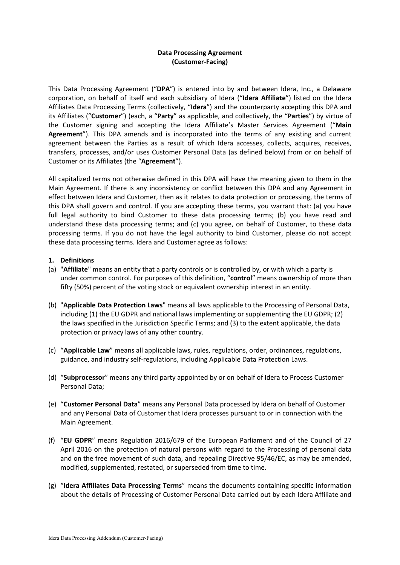## **Data Processing Agreement (Customer-Facing)**

This Data Processing Agreement ("**DPA**") is entered into by and between Idera, Inc., a Delaware corporation, on behalf of itself and each subsidiary of Idera ("**Idera Affiliate**") listed on the Idera Affiliates Data Processing Terms (collectively, "**Idera**") and the counterparty accepting this DPA and its Affiliates ("**Customer**") (each, a "**Party**" as applicable, and collectively, the "**Parties**") by virtue of the Customer signing and accepting the Idera Affiliate's Master Services Agreement ("**Main Agreement**"). This DPA amends and is incorporated into the terms of any existing and current agreement between the Parties as a result of which Idera accesses, collects, acquires, receives, transfers, processes, and/or uses Customer Personal Data (as defined below) from or on behalf of Customer or its Affiliates (the "**Agreement**").

All capitalized terms not otherwise defined in this DPA will have the meaning given to them in the Main Agreement. If there is any inconsistency or conflict between this DPA and any Agreement in effect between Idera and Customer, then as it relates to data protection or processing, the terms of this DPA shall govern and control. If you are accepting these terms, you warrant that: (a) you have full legal authority to bind Customer to these data processing terms; (b) you have read and understand these data processing terms; and (c) you agree, on behalf of Customer, to these data processing terms. If you do not have the legal authority to bind Customer, please do not accept these data processing terms. Idera and Customer agree as follows:

### **1. Definitions**

- (a) "**Affiliate**" means an entity that a party controls or is controlled by, or with which a party is under common control. For purposes of this definition, "**control**" means ownership of more than fifty (50%) percent of the voting stock or equivalent ownership interest in an entity.
- (b) "**Applicable Data Protection Laws**" means all laws applicable to the Processing of Personal Data, including (1) the EU GDPR and national laws implementing or supplementing the EU GDPR; (2) the laws specified in the Jurisdiction Specific Terms; and (3) to the extent applicable, the data protection or privacy laws of any other country.
- (c) "**Applicable Law**" means all applicable laws, rules, regulations, order, ordinances, regulations, guidance, and industry self-regulations, including Applicable Data Protection Laws.
- (d) "**Subprocessor**" means any third party appointed by or on behalf of Idera to Process Customer Personal Data;
- (e) "**Customer Personal Data**" means any Personal Data processed by Idera on behalf of Customer and any Personal Data of Customer that Idera processes pursuant to or in connection with the Main Agreement.
- (f) "**EU GDPR**" means Regulation 2016/679 of the European Parliament and of the Council of 27 April 2016 on the protection of natural persons with regard to the Processing of personal data and on the free movement of such data, and repealing Directive 95/46/EC, as may be amended, modified, supplemented, restated, or superseded from time to time.
- (g) "**Idera Affiliates Data Processing Terms**" means the documents containing specific information about the details of Processing of Customer Personal Data carried out by each Idera Affiliate and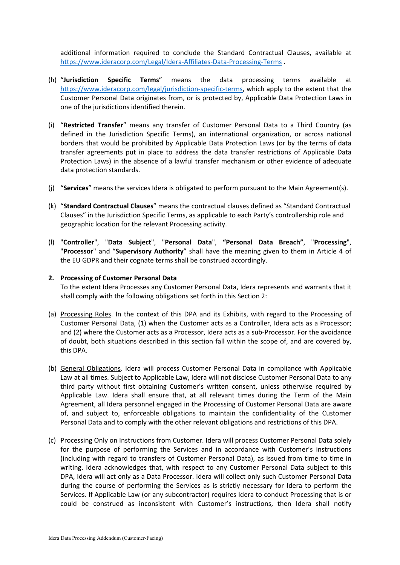additional information required to conclude the Standard Contractual Clauses, available at [https://www.ideracorp.com/Legal/Idera-Affiliates-Data-Processing-Terms](about:blank) .

- (h) "**Jurisdiction Specific Terms**" means the data processing terms available at [https://www.ideracorp.com/legal/jurisdiction-specific-terms,](about:blank) which apply to the extent that the Customer Personal Data originates from, or is protected by, Applicable Data Protection Laws in one of the jurisdictions identified therein.
- (i) "**Restricted Transfer**" means any transfer of Customer Personal Data to a Third Country (as defined in the Jurisdiction Specific Terms), an international organization, or across national borders that would be prohibited by Applicable Data Protection Laws (or by the terms of data transfer agreements put in place to address the data transfer restrictions of Applicable Data Protection Laws) in the absence of a lawful transfer mechanism or other evidence of adequate data protection standards.
- (j) "**Services**" means the services Idera is obligated to perform pursuant to the Main Agreement(s).
- (k) "**Standard Contractual Clauses**" means the contractual clauses defined as "Standard Contractual Clauses" in the Jurisdiction Specific Terms, as applicable to each Party's controllership role and geographic location for the relevant Processing activity.
- (l) "**Controller**", "**Data Subject**", "**Personal Data**", **"Personal Data Breach"**, "**Processing**", "**Processor**" and "**Supervisory Authority**" shall have the meaning given to them in Article 4 of the EU GDPR and their cognate terms shall be construed accordingly.

### **2. Processing of Customer Personal Data**

To the extent Idera Processes any Customer Personal Data, Idera represents and warrants that it shall comply with the following obligations set forth in this Section 2:

- (a) Processing Roles. In the context of this DPA and its Exhibits, with regard to the Processing of Customer Personal Data, (1) when the Customer acts as a Controller, Idera acts as a Processor; and (2) where the Customer acts as a Processor, Idera acts as a sub-Processor. For the avoidance of doubt, both situations described in this section fall within the scope of, and are covered by, this DPA.
- (b) General Obligations. Idera will process Customer Personal Data in compliance with Applicable Law at all times. Subject to Applicable Law, Idera will not disclose Customer Personal Data to any third party without first obtaining Customer's written consent, unless otherwise required by Applicable Law. Idera shall ensure that, at all relevant times during the Term of the Main Agreement, all Idera personnel engaged in the Processing of Customer Personal Data are aware of, and subject to, enforceable obligations to maintain the confidentiality of the Customer Personal Data and to comply with the other relevant obligations and restrictions of this DPA.
- (c) Processing Only on Instructions from Customer. Idera will process Customer Personal Data solely for the purpose of performing the Services and in accordance with Customer's instructions (including with regard to transfers of Customer Personal Data), as issued from time to time in writing. Idera acknowledges that, with respect to any Customer Personal Data subject to this DPA, Idera will act only as a Data Processor. Idera will collect only such Customer Personal Data during the course of performing the Services as is strictly necessary for Idera to perform the Services. If Applicable Law (or any subcontractor) requires Idera to conduct Processing that is or could be construed as inconsistent with Customer's instructions, then Idera shall notify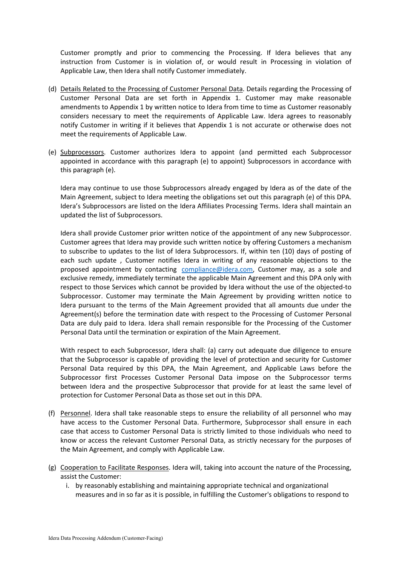Customer promptly and prior to commencing the Processing. If Idera believes that any instruction from Customer is in violation of, or would result in Processing in violation of Applicable Law, then Idera shall notify Customer immediately.

- (d) Details Related to the Processing of Customer Personal Data. Details regarding the Processing of Customer Personal Data are set forth in Appendix 1. Customer may make reasonable amendments to Appendix 1 by written notice to Idera from time to time as Customer reasonably considers necessary to meet the requirements of Applicable Law. Idera agrees to reasonably notify Customer in writing if it believes that Appendix 1 is not accurate or otherwise does not meet the requirements of Applicable Law.
- (e) Subprocessors. Customer authorizes Idera to appoint (and permitted each Subprocessor appointed in accordance with this paragraph (e) to appoint) Subprocessors in accordance with this paragraph (e).

Idera may continue to use those Subprocessors already engaged by Idera as of the date of the Main Agreement, subject to Idera meeting the obligations set out this paragraph (e) of this DPA. Idera's Subprocessors are listed on the Idera Affiliates Processing Terms. Idera shall maintain an updated the list of Subprocessors.

Idera shall provide Customer prior written notice of the appointment of any new Subprocessor. Customer agrees that Idera may provide such written notice by offering Customers a mechanism to subscribe to updates to the list of Idera Subprocessors. If, within ten (10) days of posting of each such update , Customer notifies Idera in writing of any reasonable objections to the proposed appointment by contacting [compliance@idera.com,](about:blank) Customer may, as a sole and exclusive remedy, immediately terminate the applicable Main Agreement and this DPA only with respect to those Services which cannot be provided by Idera without the use of the objected-to Subprocessor. Customer may terminate the Main Agreement by providing written notice to Idera pursuant to the terms of the Main Agreement provided that all amounts due under the Agreement(s) before the termination date with respect to the Processing of Customer Personal Data are duly paid to Idera. Idera shall remain responsible for the Processing of the Customer Personal Data until the termination or expiration of the Main Agreement.

With respect to each Subprocessor, Idera shall: (a) carry out adequate due diligence to ensure that the Subprocessor is capable of providing the level of protection and security for Customer Personal Data required by this DPA, the Main Agreement, and Applicable Laws before the Subprocessor first Processes Customer Personal Data impose on the Subprocessor terms between Idera and the prospective Subprocessor that provide for at least the same level of protection for Customer Personal Data as those set out in this DPA.

- (f) Personnel. Idera shall take reasonable steps to ensure the reliability of all personnel who may have access to the Customer Personal Data. Furthermore, Subprocessor shall ensure in each case that access to Customer Personal Data is strictly limited to those individuals who need to know or access the relevant Customer Personal Data, as strictly necessary for the purposes of the Main Agreement, and comply with Applicable Law.
- (g) Cooperation to Facilitate Responses. Idera will, taking into account the nature of the Processing, assist the Customer:
	- i. by reasonably establishing and maintaining appropriate technical and organizational measures and in so far as it is possible, in fulfilling the Customer's obligations to respond to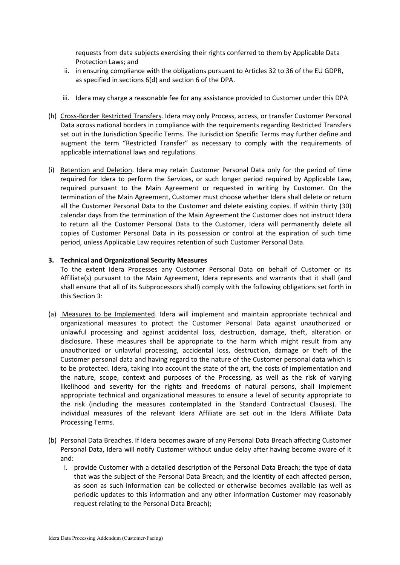requests from data subjects exercising their rights conferred to them by Applicable Data Protection Laws; and

- ii. in ensuring compliance with the obligations pursuant to Articles 32 to 36 of the EU GDPR, as specified in sections 6(d) and section 6 of the DPA.
- iii. Idera may charge a reasonable fee for any assistance provided to Customer under this DPA
- (h) Cross-Border Restricted Transfers. Idera may only Process, access, or transfer Customer Personal Data across national borders in compliance with the requirements regarding Restricted Transfers set out in the Jurisdiction Specific Terms. The Jurisdiction Specific Terms may further define and augment the term "Restricted Transfer" as necessary to comply with the requirements of applicable international laws and regulations.
- (i) Retention and Deletion. Idera may retain Customer Personal Data only for the period of time required for Idera to perform the Services, or such longer period required by Applicable Law, required pursuant to the Main Agreement or requested in writing by Customer. On the termination of the Main Agreement, Customer must choose whether Idera shall delete or return all the Customer Personal Data to the Customer and delete existing copies. If within thirty (30) calendar days from the termination of the Main Agreement the Customer does not instruct Idera to return all the Customer Personal Data to the Customer, Idera will permanently delete all copies of Customer Personal Data in its possession or control at the expiration of such time period, unless Applicable Law requires retention of such Customer Personal Data.

### **3. Technical and Organizational Security Measures**

To the extent Idera Processes any Customer Personal Data on behalf of Customer or its Affiliate(s) pursuant to the Main Agreement, Idera represents and warrants that it shall (and shall ensure that all of its Subprocessors shall) comply with the following obligations set forth in this Section 3:

- (a) Measures to be Implemented. Idera will implement and maintain appropriate technical and organizational measures to protect the Customer Personal Data against unauthorized or unlawful processing and against accidental loss, destruction, damage, theft, alteration or disclosure. These measures shall be appropriate to the harm which might result from any unauthorized or unlawful processing, accidental loss, destruction, damage or theft of the Customer personal data and having regard to the nature of the Customer personal data which is to be protected. Idera, taking into account the state of the art, the costs of implementation and the nature, scope, context and purposes of the Processing, as well as the risk of varying likelihood and severity for the rights and freedoms of natural persons, shall implement appropriate technical and organizational measures to ensure a level of security appropriate to the risk (including the measures contemplated in the Standard Contractual Clauses). The individual measures of the relevant Idera Affiliate are set out in the Idera Affiliate Data Processing Terms.
- (b) Personal Data Breaches. If Idera becomes aware of any Personal Data Breach affecting Customer Personal Data, Idera will notify Customer without undue delay after having become aware of it and:
	- i. provide Customer with a detailed description of the Personal Data Breach; the type of data that was the subject of the Personal Data Breach; and the identity of each affected person, as soon as such information can be collected or otherwise becomes available (as well as periodic updates to this information and any other information Customer may reasonably request relating to the Personal Data Breach);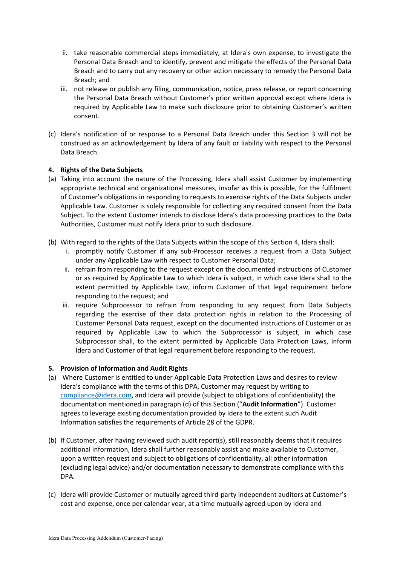- ii. take reasonable commercial steps immediately, at Idera's own expense, to investigate the Personal Data Breach and to identify, prevent and mitigate the effects of the Personal Data Breach and to carry out any recovery or other action necessary to remedy the Personal Data Breach; and
- iii. not release or publish any filing, communication, notice, press release, or report concerning the Personal Data Breach without Customer's prior written approval except where Idera is required by Applicable Law to make such disclosure prior to obtaining Customer's written consent.
- (c) Idera's notification of or response to a Personal Data Breach under this Section 3 will not be construed as an acknowledgement by Idera of any fault or liability with respect to the Personal Data Breach.

### **4. Rights of the Data Subjects**

- (a) Taking into account the nature of the Processing, Idera shall assist Customer by implementing appropriate technical and organizational measures, insofar as this is possible, for the fulfilment of Customer's obligations in responding to requests to exercise rights of the Data Subjects under Applicable Law. Customer is solely responsible for collecting any required consent from the Data Subject. To the extent Customer intends to disclose Idera's data processing practices to the Data Authorities, Customer must notify Idera prior to such disclosure.
- (b) With regard to the rights of the Data Subjects within the scope of this Section 4, Idera shall:
	- i. promptly notify Customer if any sub-Processor receives a request from a Data Subject under any Applicable Law with respect to Customer Personal Data;
	- ii. refrain from responding to the request except on the documented instructions of Customer or as required by Applicable Law to which Idera is subject, in which case Idera shall to the extent permitted by Applicable Law, inform Customer of that legal requirement before responding to the request; and
	- iii. require Subprocessor to refrain from responding to any request from Data Subjects regarding the exercise of their data protection rights in relation to the Processing of Customer Personal Data request, except on the documented instructions of Customer or as required by Applicable Law to which the Subprocessor is subject, in which case Subprocessor shall, to the extent permitted by Applicable Data Protection Laws, inform Idera and Customer of that legal requirement before responding to the request.

#### **5. Provision of Information and Audit Rights**

- (a) Where Customer is entitled to under Applicable Data Protection Laws and desires to review Idera's compliance with the terms of this DPA, Customer may request by writing to [compliance@idera.com,](about:blank) and Idera will provide (subject to obligations of confidentiality) the documentation mentioned in paragraph (d) of this Section ("**Audit Information**"). Customer agrees to leverage existing documentation provided by Idera to the extent such Audit Information satisfies the requirements of Article 28 of the GDPR.
- (b) If Customer, after having reviewed such audit report(s), still reasonably deems that it requires additional information, Idera shall further reasonably assist and make available to Customer, upon a written request and subject to obligations of confidentiality, all other information (excluding legal advice) and/or documentation necessary to demonstrate compliance with this DPA.
- (c) Idera will provide Customer or mutually agreed third-party independent auditors at Customer's cost and expense, once per calendar year, at a time mutually agreed upon by Idera and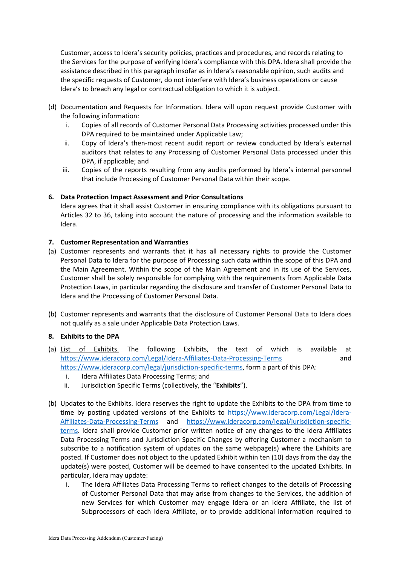Customer, access to Idera's security policies, practices and procedures, and records relating to the Services for the purpose of verifying Idera's compliance with this DPA. Idera shall provide the assistance described in this paragraph insofar as in Idera's reasonable opinion, such audits and the specific requests of Customer, do not interfere with Idera's business operations or cause Idera's to breach any legal or contractual obligation to which it is subject.

- (d) Documentation and Requests for Information. Idera will upon request provide Customer with the following information:
	- i. Copies of all records of Customer Personal Data Processing activities processed under this DPA required to be maintained under Applicable Law;
	- ii. Copy of Idera's then-most recent audit report or review conducted by Idera's external auditors that relates to any Processing of Customer Personal Data processed under this DPA, if applicable; and
	- iii. Copies of the reports resulting from any audits performed by Idera's internal personnel that include Processing of Customer Personal Data within their scope.

### **6. Data Protection Impact Assessment and Prior Consultations**

Idera agrees that it shall assist Customer in ensuring compliance with its obligations pursuant to Articles 32 to 36, taking into account the nature of processing and the information available to Idera.

### **7. Customer Representation and Warranties**

- (a) Customer represents and warrants that it has all necessary rights to provide the Customer Personal Data to Idera for the purpose of Processing such data within the scope of this DPA and the Main Agreement. Within the scope of the Main Agreement and in its use of the Services, Customer shall be solely responsible for complying with the requirements from Applicable Data Protection Laws, in particular regarding the disclosure and transfer of Customer Personal Data to Idera and the Processing of Customer Personal Data.
- (b) Customer represents and warrants that the disclosure of Customer Personal Data to Idera does not qualify as a sale under Applicable Data Protection Laws.

# **8. Exhibits to the DPA**

- (a) List of Exhibits. The following Exhibits, the text of which is available at [https://www.ideracorp.com/Legal/Idera-Affiliates-Data-Processing-Terms](about:blank) and [https://www.ideracorp.com/legal/jurisdiction-specific-terms,](about:blank) form a part of this DPA:
	- i. Idera Affiliates Data Processing Terms; and
	- ii. Jurisdiction Specific Terms (collectively, the "**Exhibits**").
- (b) Updates to the Exhibits. Idera reserves the right to update the Exhibits to the DPA from time to time by posting updated versions of the Exhibits to [https://www.ideracorp.com/Legal/Idera-](about:blank)[Affiliates-Data-Processing-Terms](about:blank) and [https://www.ideracorp.com/legal/jurisdiction-specific](about:blank)[terms.](about:blank) Idera shall provide Customer prior written notice of any changes to the Idera Affiliates Data Processing Terms and Jurisdiction Specific Changes by offering Customer a mechanism to subscribe to a notification system of updates on the same webpage(s) where the Exhibits are posted. If Customer does not object to the updated Exhibit within ten (10) days from the day the update(s) were posted, Customer will be deemed to have consented to the updated Exhibits. In particular, Idera may update:
	- i. The Idera Affiliates Data Processing Terms to reflect changes to the details of Processing of Customer Personal Data that may arise from changes to the Services, the addition of new Services for which Customer may engage Idera or an Idera Affiliate, the list of Subprocessors of each Idera Affiliate, or to provide additional information required to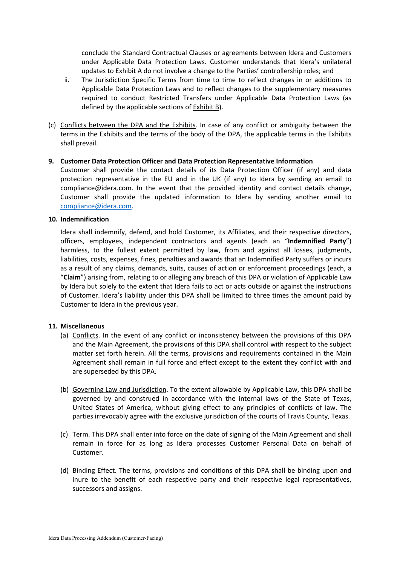conclude the Standard Contractual Clauses or agreements between Idera and Customers under Applicable Data Protection Laws. Customer understands that Idera's unilateral updates to Exhibit A do not involve a change to the Parties' controllership roles; and

- ii. The Jurisdiction Specific Terms from time to time to reflect changes in or additions to Applicable Data Protection Laws and to reflect changes to the supplementary measures required to conduct Restricted Transfers under Applicable Data Protection Laws (as defined by the applicable sections of Exhibit B).
- (c) Conflicts between the DPA and the Exhibits. In case of any conflict or ambiguity between the terms in the Exhibits and the terms of the body of the DPA, the applicable terms in the Exhibits shall prevail.

#### **9. Customer Data Protection Officer and Data Protection Representative Information**

Customer shall provide the contact details of its Data Protection Officer (if any) and data protection representative in the EU and in the UK (if any) to Idera by sending an email to compliance@idera.com. In the event that the provided identity and contact details change, Customer shall provide the updated information to Idera by sending another email to [compliance@idera.com.](about:blank)

#### **10. Indemnification**

Idera shall indemnify, defend, and hold Customer, its Affiliates, and their respective directors, officers, employees, independent contractors and agents (each an "**Indemnified Party**") harmless, to the fullest extent permitted by law, from and against all losses, judgments, liabilities, costs, expenses, fines, penalties and awards that an Indemnified Party suffers or incurs as a result of any claims, demands, suits, causes of action or enforcement proceedings (each, a "**Claim**") arising from, relating to or alleging any breach of this DPA or violation of Applicable Law by Idera but solely to the extent that Idera fails to act or acts outside or against the instructions of Customer. Idera's liability under this DPA shall be limited to three times the amount paid by Customer to Idera in the previous year.

#### **11. Miscellaneous**

- (a) Conflicts. In the event of any conflict or inconsistency between the provisions of this DPA and the Main Agreement, the provisions of this DPA shall control with respect to the subject matter set forth herein. All the terms, provisions and requirements contained in the Main Agreement shall remain in full force and effect except to the extent they conflict with and are superseded by this DPA.
- (b) Governing Law and Jurisdiction. To the extent allowable by Applicable Law, this DPA shall be governed by and construed in accordance with the internal laws of the State of Texas, United States of America, without giving effect to any principles of conflicts of law. The parties irrevocably agree with the exclusive jurisdiction of the courts of Travis County, Texas.
- (c) Term. This DPA shall enter into force on the date of signing of the Main Agreement and shall remain in force for as long as Idera processes Customer Personal Data on behalf of Customer.
- (d) Binding Effect. The terms, provisions and conditions of this DPA shall be binding upon and inure to the benefit of each respective party and their respective legal representatives, successors and assigns.